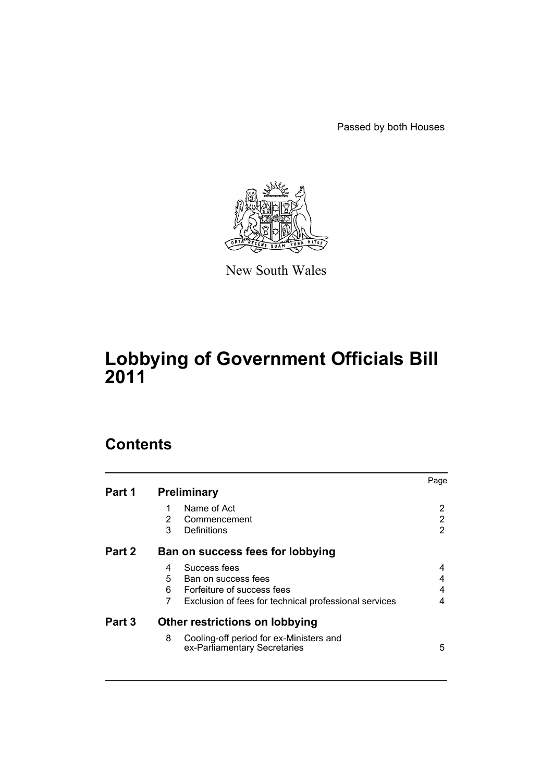Passed by both Houses



New South Wales

# **Lobbying of Government Officials Bill 2011**

## **Contents**

|        |                                                                              | Page |  |
|--------|------------------------------------------------------------------------------|------|--|
| Part 1 | <b>Preliminary</b>                                                           |      |  |
|        | Name of Act                                                                  |      |  |
|        | 2<br>Commencement                                                            | 2    |  |
|        | 3<br>Definitions                                                             | 2    |  |
| Part 2 | Ban on success fees for lobbying                                             |      |  |
|        | Success fees<br>4                                                            | 4    |  |
|        | 5<br>Ban on success fees                                                     | 4    |  |
|        | Forfeiture of success fees<br>6                                              | 4    |  |
|        | 7<br>Exclusion of fees for technical professional services                   | 4    |  |
| Part 3 | Other restrictions on lobbying                                               |      |  |
|        | 8<br>Cooling-off period for ex-Ministers and<br>ex-Parliamentary Secretaries | 5    |  |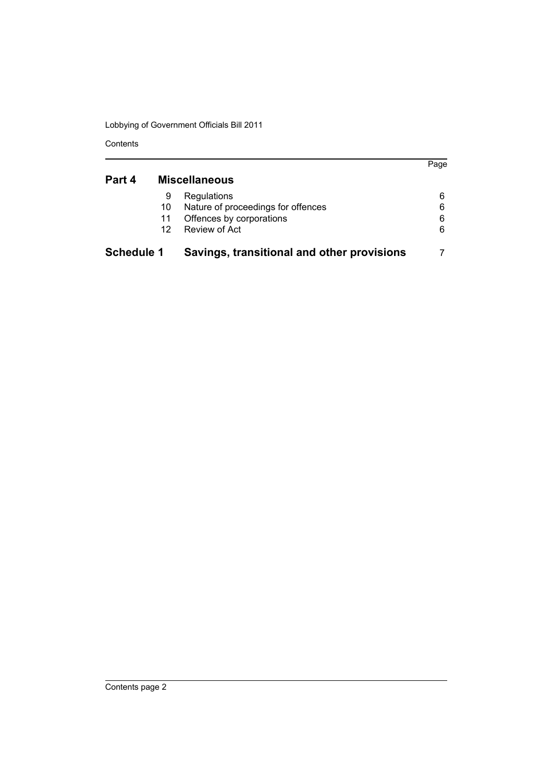Lobbying of Government Officials Bill 2011

Contents

| Part 4            | <b>Miscellaneous</b> |                                            |   |
|-------------------|----------------------|--------------------------------------------|---|
|                   | 9                    | Regulations                                | 6 |
|                   | 10                   | Nature of proceedings for offences         | 6 |
|                   | 11                   | Offences by corporations                   | 6 |
|                   | 12                   | Review of Act                              | 6 |
| <b>Schedule 1</b> |                      | Savings, transitional and other provisions |   |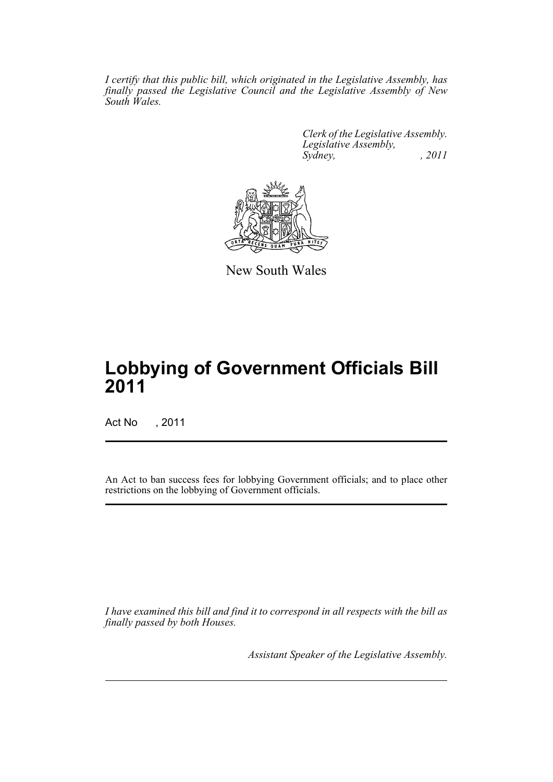*I certify that this public bill, which originated in the Legislative Assembly, has finally passed the Legislative Council and the Legislative Assembly of New South Wales.*

> *Clerk of the Legislative Assembly. Legislative Assembly, Sydney, , 2011*



New South Wales

# **Lobbying of Government Officials Bill 2011**

Act No , 2011

An Act to ban success fees for lobbying Government officials; and to place other restrictions on the lobbying of Government officials.

*I have examined this bill and find it to correspond in all respects with the bill as finally passed by both Houses.*

*Assistant Speaker of the Legislative Assembly.*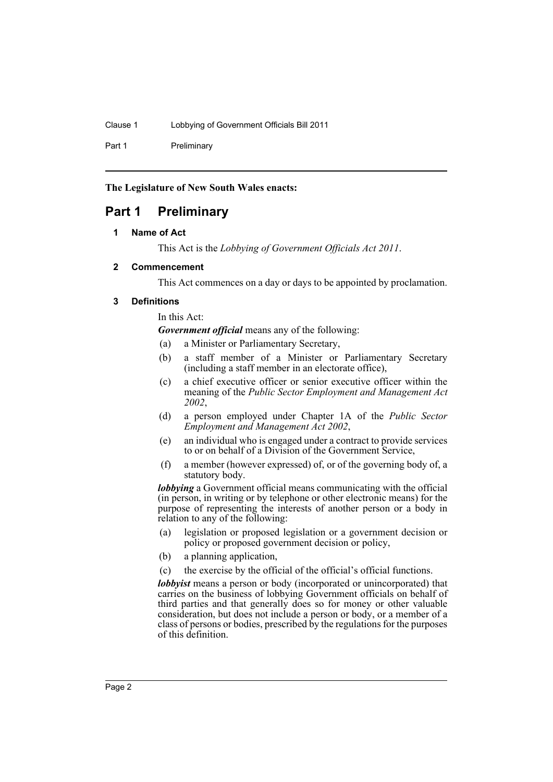Clause 1 Lobbying of Government Officials Bill 2011

Part 1 Preliminary

**The Legislature of New South Wales enacts:**

## <span id="page-3-1"></span><span id="page-3-0"></span>**Part 1 Preliminary**

#### **1 Name of Act**

This Act is the *Lobbying of Government Officials Act 2011*.

#### <span id="page-3-2"></span>**2 Commencement**

This Act commences on a day or days to be appointed by proclamation.

#### <span id="page-3-3"></span>**3 Definitions**

In this Act:

*Government official* means any of the following:

- (a) a Minister or Parliamentary Secretary,
- (b) a staff member of a Minister or Parliamentary Secretary (including a staff member in an electorate office),
- (c) a chief executive officer or senior executive officer within the meaning of the *Public Sector Employment and Management Act 2002*,
- (d) a person employed under Chapter 1A of the *Public Sector Employment and Management Act 2002*,
- (e) an individual who is engaged under a contract to provide services to or on behalf of a Division of the Government Service,
- (f) a member (however expressed) of, or of the governing body of, a statutory body.

*lobbying* a Government official means communicating with the official (in person, in writing or by telephone or other electronic means) for the purpose of representing the interests of another person or a body in relation to any of the following:

- (a) legislation or proposed legislation or a government decision or policy or proposed government decision or policy,
- (b) a planning application,
- (c) the exercise by the official of the official's official functions.

*lobbyist* means a person or body (incorporated or unincorporated) that carries on the business of lobbying Government officials on behalf of third parties and that generally does so for money or other valuable consideration, but does not include a person or body, or a member of a class of persons or bodies, prescribed by the regulations for the purposes of this definition.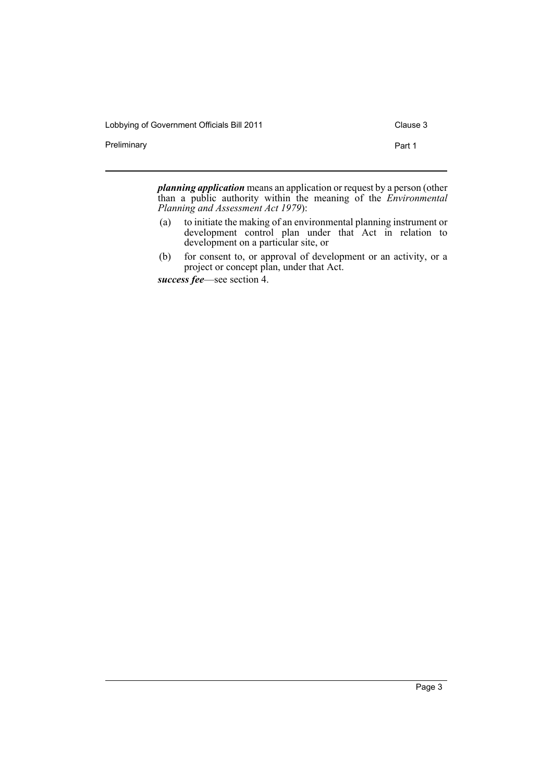Lobbying of Government Officials Bill 2011 Clause 3

Preliminary **Preliminary** Part 1

*planning application* means an application or request by a person (other than a public authority within the meaning of the *Environmental Planning and Assessment Act 1979*):

- (a) to initiate the making of an environmental planning instrument or development control plan under that Act in relation to development on a particular site, or
- (b) for consent to, or approval of development or an activity, or a project or concept plan, under that Act.

*success fee*—see section 4.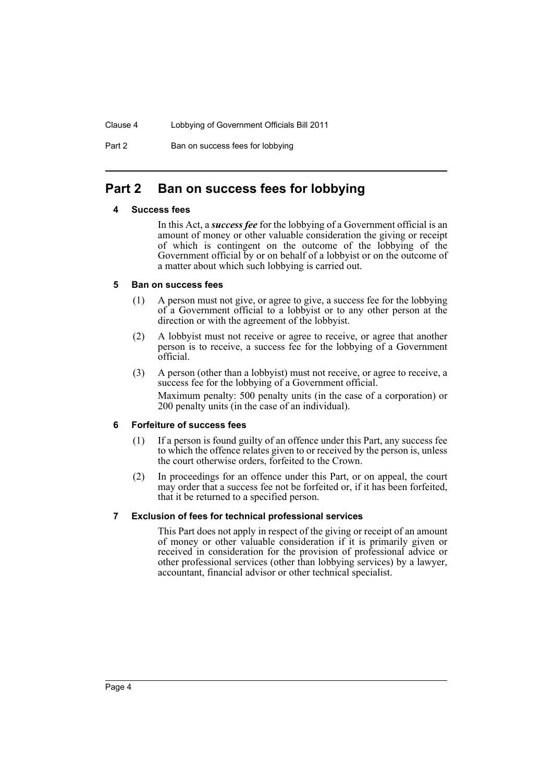Clause 4 Lobbying of Government Officials Bill 2011

Part 2 Ban on success fees for lobbying

## <span id="page-5-1"></span><span id="page-5-0"></span>**Part 2 Ban on success fees for lobbying**

#### **4 Success fees**

In this Act, a *success fee* for the lobbying of a Government official is an amount of money or other valuable consideration the giving or receipt of which is contingent on the outcome of the lobbying of the Government official by or on behalf of a lobbyist or on the outcome of a matter about which such lobbying is carried out.

#### <span id="page-5-2"></span>**5 Ban on success fees**

- (1) A person must not give, or agree to give, a success fee for the lobbying of a Government official to a lobbyist or to any other person at the direction or with the agreement of the lobbyist.
- (2) A lobbyist must not receive or agree to receive, or agree that another person is to receive, a success fee for the lobbying of a Government official.
- (3) A person (other than a lobbyist) must not receive, or agree to receive, a success fee for the lobbying of a Government official. Maximum penalty: 500 penalty units (in the case of a corporation) or 200 penalty units (in the case of an individual).

#### <span id="page-5-3"></span>**6 Forfeiture of success fees**

- (1) If a person is found guilty of an offence under this Part, any success fee to which the offence relates given to or received by the person is, unless the court otherwise orders, forfeited to the Crown.
- (2) In proceedings for an offence under this Part, or on appeal, the court may order that a success fee not be forfeited or, if it has been forfeited, that it be returned to a specified person.

#### <span id="page-5-4"></span>**7 Exclusion of fees for technical professional services**

This Part does not apply in respect of the giving or receipt of an amount of money or other valuable consideration if it is primarily given or received in consideration for the provision of professional advice or other professional services (other than lobbying services) by a lawyer, accountant, financial advisor or other technical specialist.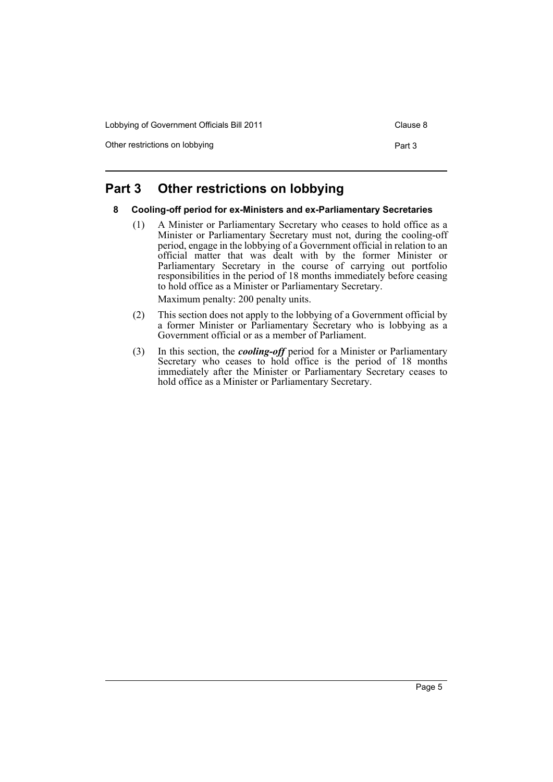Lobbying of Government Officials Bill 2011 Clause 8

Other restrictions on lobbying example of the part 3 Part 3

## <span id="page-6-1"></span><span id="page-6-0"></span>**Part 3 Other restrictions on lobbying**

#### **8 Cooling-off period for ex-Ministers and ex-Parliamentary Secretaries**

(1) A Minister or Parliamentary Secretary who ceases to hold office as a Minister or Parliamentary Secretary must not, during the cooling-off period, engage in the lobbying of a Government official in relation to an official matter that was dealt with by the former Minister or Parliamentary Secretary in the course of carrying out portfolio responsibilities in the period of 18 months immediately before ceasing to hold office as a Minister or Parliamentary Secretary.

Maximum penalty: 200 penalty units.

- (2) This section does not apply to the lobbying of a Government official by a former Minister or Parliamentary Secretary who is lobbying as a Government official or as a member of Parliament.
- (3) In this section, the *cooling-off* period for a Minister or Parliamentary Secretary who ceases to hold office is the period of 18 months immediately after the Minister or Parliamentary Secretary ceases to hold office as a Minister or Parliamentary Secretary.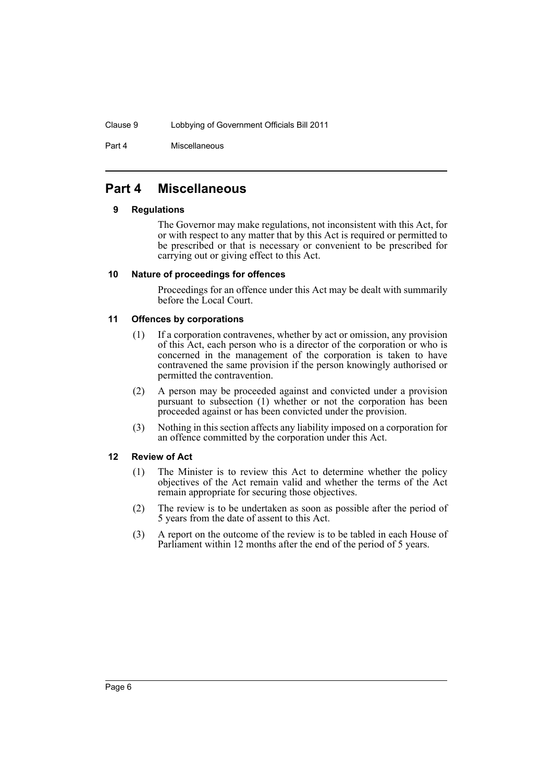#### Clause 9 Lobbying of Government Officials Bill 2011

Part 4 Miscellaneous

## <span id="page-7-1"></span><span id="page-7-0"></span>**Part 4 Miscellaneous**

#### **9 Regulations**

The Governor may make regulations, not inconsistent with this Act, for or with respect to any matter that by this Act is required or permitted to be prescribed or that is necessary or convenient to be prescribed for carrying out or giving effect to this Act.

#### <span id="page-7-2"></span>**10 Nature of proceedings for offences**

Proceedings for an offence under this Act may be dealt with summarily before the Local Court.

#### <span id="page-7-3"></span>**11 Offences by corporations**

- (1) If a corporation contravenes, whether by act or omission, any provision of this Act, each person who is a director of the corporation or who is concerned in the management of the corporation is taken to have contravened the same provision if the person knowingly authorised or permitted the contravention.
- (2) A person may be proceeded against and convicted under a provision pursuant to subsection (1) whether or not the corporation has been proceeded against or has been convicted under the provision.
- (3) Nothing in this section affects any liability imposed on a corporation for an offence committed by the corporation under this Act.

#### <span id="page-7-4"></span>**12 Review of Act**

- (1) The Minister is to review this Act to determine whether the policy objectives of the Act remain valid and whether the terms of the Act remain appropriate for securing those objectives.
- (2) The review is to be undertaken as soon as possible after the period of 5 years from the date of assent to this Act.
- (3) A report on the outcome of the review is to be tabled in each House of Parliament within 12 months after the end of the period of 5 years.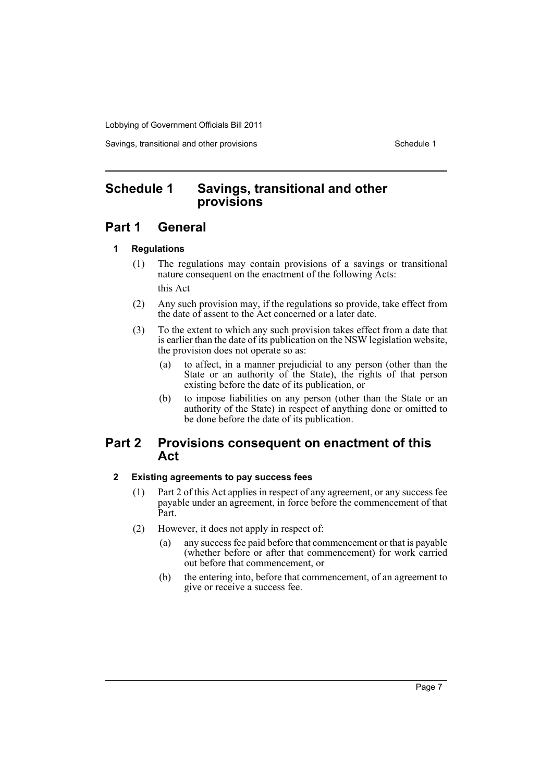Lobbying of Government Officials Bill 2011

Savings, transitional and other provisions Schedule 1 and Schedule 1

## <span id="page-8-0"></span>**Schedule 1 Savings, transitional and other provisions**

## **Part 1 General**

#### **1 Regulations**

- (1) The regulations may contain provisions of a savings or transitional nature consequent on the enactment of the following Acts: this Act
- (2) Any such provision may, if the regulations so provide, take effect from the date of assent to the Act concerned or a later date.
- (3) To the extent to which any such provision takes effect from a date that is earlier than the date of its publication on the NSW legislation website, the provision does not operate so as:
	- (a) to affect, in a manner prejudicial to any person (other than the State or an authority of the State), the rights of that person existing before the date of its publication, or
	- (b) to impose liabilities on any person (other than the State or an authority of the State) in respect of anything done or omitted to be done before the date of its publication.

### **Part 2 Provisions consequent on enactment of this Act**

#### **2 Existing agreements to pay success fees**

- (1) Part 2 of this Act applies in respect of any agreement, or any success fee payable under an agreement, in force before the commencement of that Part.
- (2) However, it does not apply in respect of:
	- (a) any success fee paid before that commencement or that is payable (whether before or after that commencement) for work carried out before that commencement, or
	- (b) the entering into, before that commencement, of an agreement to give or receive a success fee.